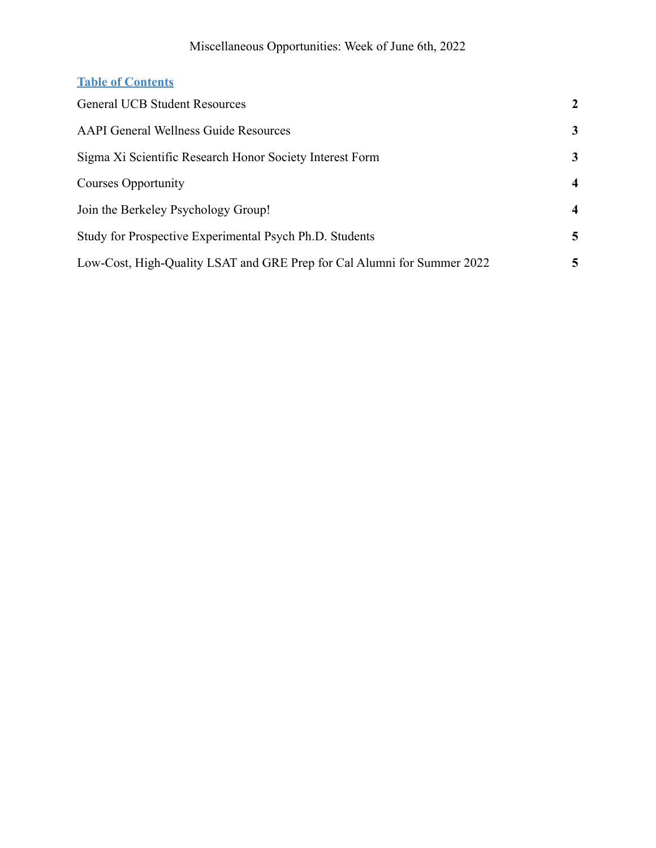### Miscellaneous Opportunities: Week of June 6th, 2022

### **Table of Contents**

| <b>General UCB Student Resources</b>                                    | 2              |
|-------------------------------------------------------------------------|----------------|
| <b>AAPI General Wellness Guide Resources</b>                            | 3              |
| Sigma Xi Scientific Research Honor Society Interest Form                | 3              |
| Courses Opportunity                                                     | $\overline{4}$ |
| Join the Berkeley Psychology Group!                                     | $\overline{4}$ |
| Study for Prospective Experimental Psych Ph.D. Students                 | 5              |
| Low-Cost, High-Quality LSAT and GRE Prep for Cal Alumni for Summer 2022 | 5              |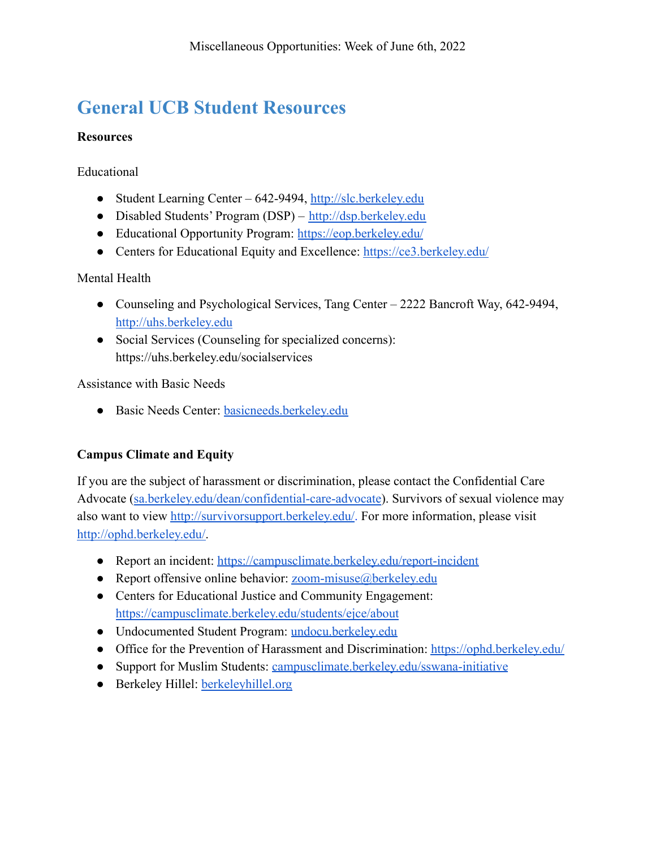## <span id="page-1-0"></span>**General UCB Student Resources**

#### **Resources**

Educational

- Student Learning Center 642-9494, <http://slc.berkeley.edu>
- Disabled Students' Program (DSP) <http://dsp.berkeley.edu>
- Educational Opportunity Program: <https://eop.berkeley.edu/>
- Centers for Educational Equity and Excellence: https://ce3.berkeley.edu/

Mental Health

- Counseling and Psychological Services, Tang Center 2222 Bancroft Way, 642-9494, <http://uhs.berkeley.edu>
- Social Services (Counseling for specialized concerns): https://uhs.berkeley.edu/socialservices

Assistance with Basic Needs

● Basic Needs Center: basicneeds.berkeley.edu

### **Campus Climate and Equity**

If you are the subject of harassment or discrimination, please contact the Confidential Care Advocate ([sa.berkeley.edu/dean/confidential-care-advocate](http://sa.berkeley.edu/dean/confidential-care-advocate)). Survivors of sexual violence may also want to view <http://survivorsupport.berkeley.edu/>. For more information, please visit [http://ophd.berkeley.edu/.](http://ophd.berkeley.edu/)

- Report an incident: <https://campusclimate.berkeley.edu/report-incident>
- Report offensive online behavior:  $zoom-misuse@berkeley.edu$
- Centers for Educational Justice and Community Engagement: <https://campusclimate.berkeley.edu/students/ejce/about>
- Undocumented Student Program: undocu.berkeley.edu
- Office for the Prevention of Harassment and Discrimination: <https://ophd.berkeley.edu/>
- Support for Muslim Students: campusclimate.berkeley.edu/sswana-initiative
- Berkeley Hillel: berkeleyhillel.org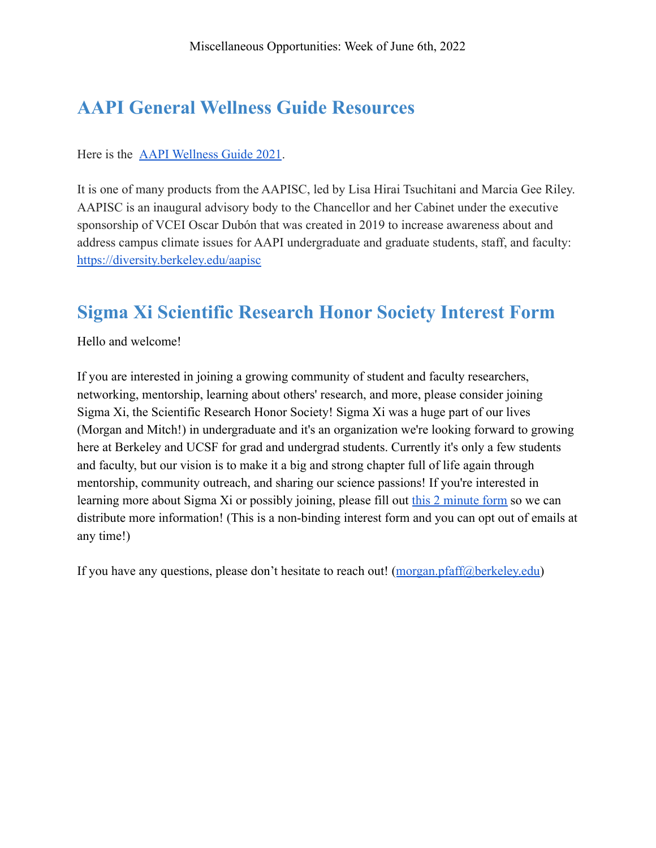### <span id="page-2-0"></span>**AAPI General Wellness Guide Resources**

Here is the [AAPI Wellness Guide 2021](https://docs.google.com/document/d/18UOradc0WlJC6_M6yVdDzepL09yuFauy9-E-2KlPk4Y/edit).

It is one of many products from the AAPISC, led by Lisa Hirai Tsuchitani and Marcia Gee Riley. AAPISC is an inaugural advisory body to the Chancellor and her Cabinet under the executive sponsorship of VCEI Oscar Dubón that was created in 2019 to increase awareness about and address campus climate issues for AAPI undergraduate and graduate students, staff, and faculty: <https://diversity.berkeley.edu/aapisc>

### <span id="page-2-1"></span>**Sigma Xi Scientific Research Honor Society Interest Form**

Hello and welcome!

If you are interested in joining a growing community of student and faculty researchers, networking, mentorship, learning about others' research, and more, please consider joining Sigma Xi, the Scientific Research Honor Society! Sigma Xi was a huge part of our lives (Morgan and Mitch!) in undergraduate and it's an organization we're looking forward to growing here at Berkeley and UCSF for grad and undergrad students. Currently it's only a few students and faculty, but our vision is to make it a big and strong chapter full of life again through mentorship, community outreach, and sharing our science passions! If you're interested in learning more about Sigma Xi or possibly joining, please fill out [this 2 minute form](https://forms.gle/8LqDtaTg8aN3RDG77) so we can distribute more information! (This is a non-binding interest form and you can opt out of emails at any time!)

If you have any questions, please don't hesitate to reach out! ([morgan.pfaff@berkeley.edu](mailto:morgan.pfaff@berkeley.edu))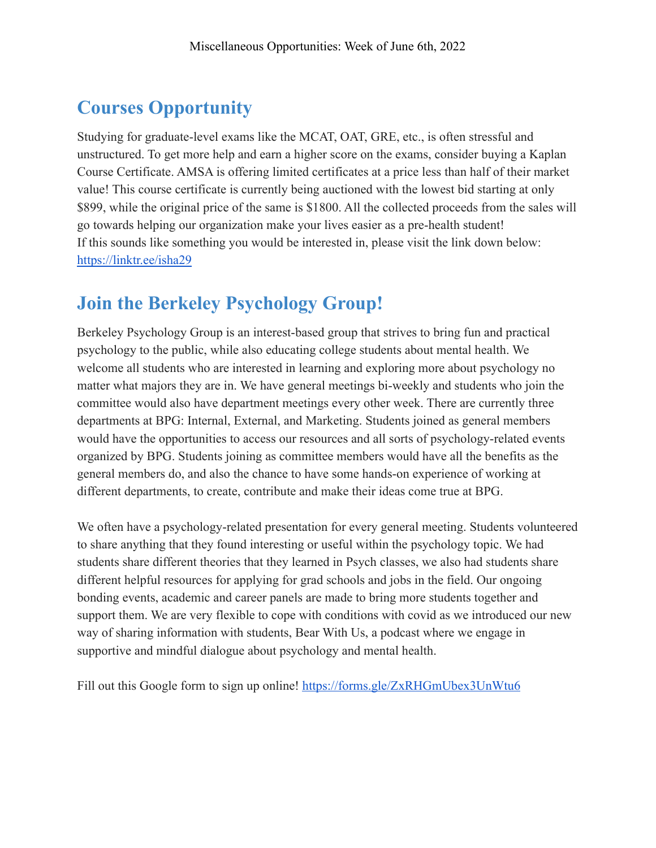# <span id="page-3-0"></span>**Courses Opportunity**

Studying for graduate-level exams like the MCAT, OAT, GRE, etc., is often stressful and unstructured. To get more help and earn a higher score on the exams, consider buying a Kaplan Course Certificate. AMSA is offering limited certificates at a price less than half of their market value! This course certificate is currently being auctioned with the lowest bid starting at only \$899, while the original price of the same is \$1800. All the collected proceeds from the sales will go towards helping our organization make your lives easier as a pre-health student! If this sounds like something you would be interested in, please visit the link down below: <https://linktr.ee/isha29>

### <span id="page-3-1"></span>**Join the Berkeley Psychology Group!**

Berkeley Psychology Group is an interest-based group that strives to bring fun and practical psychology to the public, while also educating college students about mental health. We welcome all students who are interested in learning and exploring more about psychology no matter what majors they are in. We have general meetings bi-weekly and students who join the committee would also have department meetings every other week. There are currently three departments at BPG: Internal, External, and Marketing. Students joined as general members would have the opportunities to access our resources and all sorts of psychology-related events organized by BPG. Students joining as committee members would have all the benefits as the general members do, and also the chance to have some hands-on experience of working at different departments, to create, contribute and make their ideas come true at BPG.

We often have a psychology-related presentation for every general meeting. Students volunteered to share anything that they found interesting or useful within the psychology topic. We had students share different theories that they learned in Psych classes, we also had students share different helpful resources for applying for grad schools and jobs in the field. Our ongoing bonding events, academic and career panels are made to bring more students together and support them. We are very flexible to cope with conditions with covid as we introduced our new way of sharing information with students, Bear With Us, a podcast where we engage in supportive and mindful dialogue about psychology and mental health.

Fill out this Google form to sign up online! <https://forms.gle/ZxRHGmUbex3UnWtu6>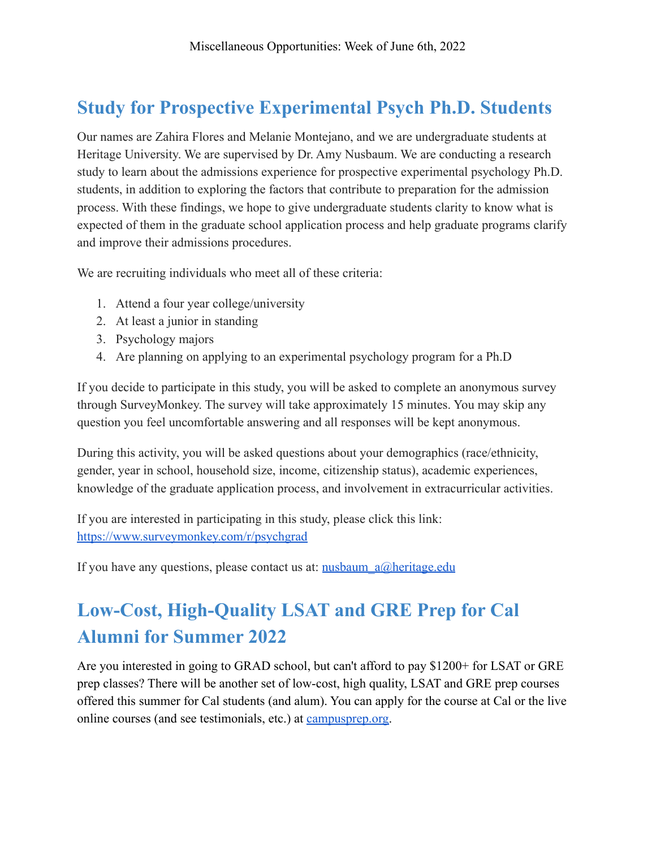## <span id="page-4-0"></span>**Study for Prospective Experimental Psych Ph.D. Students**

Our names are Zahira Flores and Melanie Montejano, and we are undergraduate students at Heritage University. We are supervised by Dr. Amy Nusbaum. We are conducting a research study to learn about the admissions experience for prospective experimental psychology Ph.D. students, in addition to exploring the factors that contribute to preparation for the admission process. With these findings, we hope to give undergraduate students clarity to know what is expected of them in the graduate school application process and help graduate programs clarify and improve their admissions procedures.

We are recruiting individuals who meet all of these criteria:

- 1. Attend a four year college/university
- 2. At least a junior in standing
- 3. Psychology majors
- 4. Are planning on applying to an experimental psychology program for a Ph.D

If you decide to participate in this study, you will be asked to complete an anonymous survey through SurveyMonkey. The survey will take approximately 15 minutes. You may skip any question you feel uncomfortable answering and all responses will be kept anonymous.

During this activity, you will be asked questions about your demographics (race/ethnicity, gender, year in school, household size, income, citizenship status), academic experiences, knowledge of the graduate application process, and involvement in extracurricular activities.

If you are interested in participating in this study, please click this link: <https://www.surveymonkey.com/r/psychgrad>

If you have any questions, please contact us at: nusbaum  $a\omega$ heritage.edu

# <span id="page-4-1"></span>**Low-Cost, High-Quality LSAT and GRE Prep for Cal Alumni for Summer 2022**

Are you interested in going to GRAD school, but can't afford to pay \$1200+ for LSAT or GRE prep classes? There will be another set of low-cost, high quality, LSAT and GRE prep courses offered this summer for Cal students (and alum). You can apply for the course at Cal or the live online courses (and see testimonials, etc.) at [campusprep.org](https://eur03.safelinks.protection.outlook.com/?url=http%3A%2F%2Fcampusprep.org%2F&data=02%7C01%7C%7Cdf4e1362130d44f2789508d62597092c%7C84df9e7fe9f640afb435aaaaaaaaaaaa%7C1%7C0%7C636737727952801199&sdata=EC2YqAnakK7nJ0yWnvYx%2FFlm%2B81WmWkSAq2X796S%2BwI%3D&reserved=0).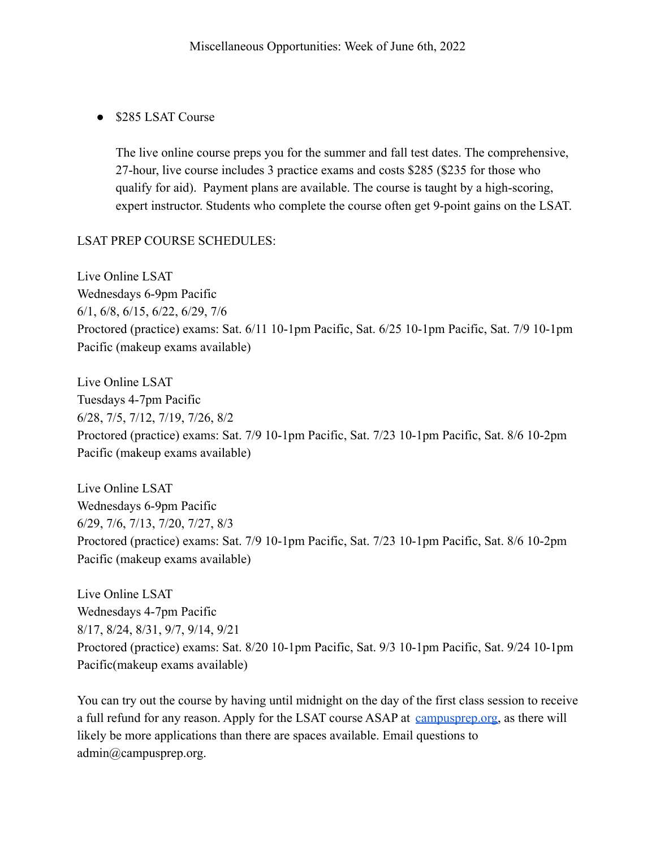#### ● \$285 LSAT Course

The live online course preps you for the summer and fall test dates. The comprehensive, 27-hour, live course includes 3 practice exams and costs \$285 (\$235 for those who qualify for aid). Payment plans are available. The course is taught by a high-scoring, expert instructor. Students who complete the course often get 9-point gains on the LSAT.

#### LSAT PREP COURSE SCHEDULES:

Live Online LSAT Wednesdays 6-9pm Pacific 6/1, 6/8, 6/15, 6/22, 6/29, 7/6 Proctored (practice) exams: Sat. 6/11 10-1pm Pacific, Sat. 6/25 10-1pm Pacific, Sat. 7/9 10-1pm Pacific (makeup exams available)

Live Online LSAT Tuesdays 4-7pm Pacific 6/28, 7/5, 7/12, 7/19, 7/26, 8/2 Proctored (practice) exams: Sat. 7/9 10-1pm Pacific, Sat. 7/23 10-1pm Pacific, Sat. 8/6 10-2pm Pacific (makeup exams available)

Live Online LSAT Wednesdays 6-9pm Pacific 6/29, 7/6, 7/13, 7/20, 7/27, 8/3 Proctored (practice) exams: Sat. 7/9 10-1pm Pacific, Sat. 7/23 10-1pm Pacific, Sat. 8/6 10-2pm Pacific (makeup exams available)

Live Online LSAT Wednesdays 4-7pm Pacific 8/17, 8/24, 8/31, 9/7, 9/14, 9/21 Proctored (practice) exams: Sat. 8/20 10-1pm Pacific, Sat. 9/3 10-1pm Pacific, Sat. 9/24 10-1pm Pacific(makeup exams available)

You can try out the course by having until midnight on the day of the first class session to receive a full refund for any reason. Apply for the LSAT course ASAP at [campusprep.org,](https://www.campusprep.org/lsat-apply) as there will likely be more applications than there are spaces available. Email questions to admin@campusprep.org.